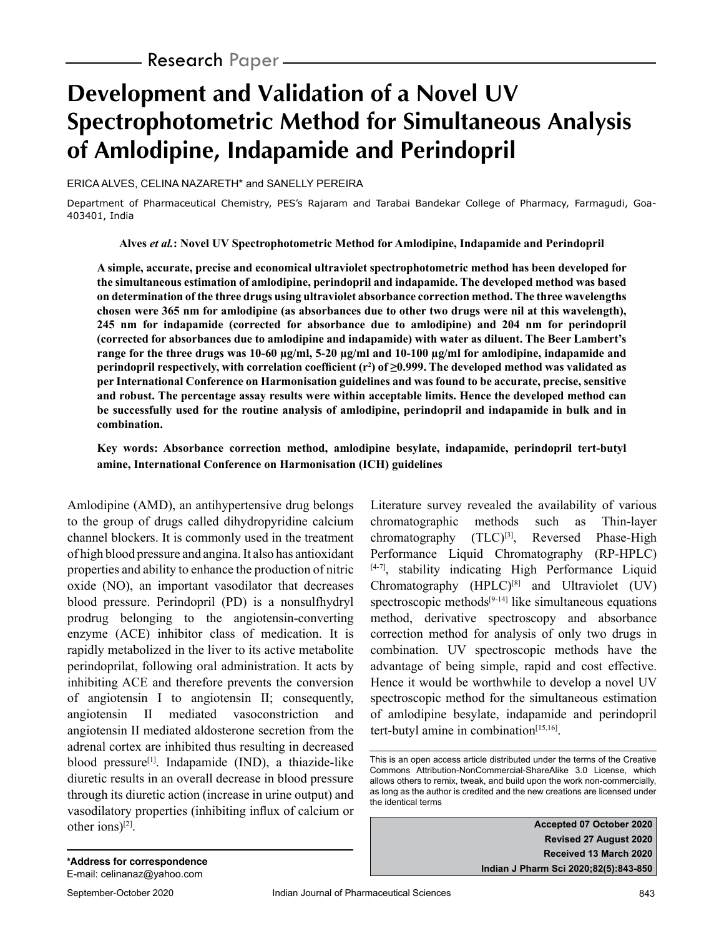# **Development and Validation of a Novel UV Spectrophotometric Method for Simultaneous Analysis of Amlodipine, Indapamide and Perindopril**

ERICA ALVES, CELINA NAZARETH\* and SANELLY PEREIRA

Department of Pharmaceutical Chemistry, PES's Rajaram and Tarabai Bandekar College of Pharmacy, Farmagudi, Goa-403401, India

**Alves** *et al.***: Novel UV Spectrophotometric Method for Amlodipine, Indapamide and Perindopril**

**A simple, accurate, precise and economical ultraviolet spectrophotometric method has been developed for the simultaneous estimation of amlodipine, perindopril and indapamide. The developed method was based on determination of the three drugs using ultraviolet absorbance correction method. The three wavelengths chosen were 365 nm for amlodipine (as absorbances due to other two drugs were nil at this wavelength), 245 nm for indapamide (corrected for absorbance due to amlodipine) and 204 nm for perindopril (corrected for absorbances due to amlodipine and indapamide) with water as diluent. The Beer Lambert's range for the three drugs was 10-60 µg/ml, 5-20 µg/ml and 10-100 µg/ml for amlodipine, indapamide and perindopril respectively, with correlation coefficient**  $(r^2)$  **of**  $\geq 0.999$ **. The developed method was validated as per International Conference on Harmonisation guidelines and was found to be accurate, precise, sensitive and robust. The percentage assay results were within acceptable limits. Hence the developed method can be successfully used for the routine analysis of amlodipine, perindopril and indapamide in bulk and in combination.**

**Key words: Absorbance correction method, amlodipine besylate, indapamide, perindopril tert-butyl amine, International Conference on Harmonisation (ICH) guidelines**

Amlodipine (AMD), an antihypertensive drug belongs to the group of drugs called dihydropyridine calcium channel blockers. It is commonly used in the treatment of high blood pressure and angina. It also has antioxidant properties and ability to enhance the production of nitric oxide (NO), an important vasodilator that decreases blood pressure. Perindopril (PD) is a nonsulfhydryl prodrug belonging to the angiotensin-converting enzyme (ACE) inhibitor class of medication. It is rapidly metabolized in the liver to its active metabolite perindoprilat, following oral administration. It acts by inhibiting ACE and therefore prevents the conversion of angiotensin I to angiotensin II; consequently, angiotensin II mediated vasoconstriction and angiotensin II mediated aldosterone secretion from the adrenal cortex are inhibited thus resulting in decreased blood pressure[1]. Indapamide (IND), a thiazide-like diuretic results in an overall decrease in blood pressure through its diuretic action (increase in urine output) and vasodilatory properties (inhibiting influx of calcium or other ions)[2].

Literature survey revealed the availability of various chromatographic methods such as Thin-layer chromatography  $(TLC)^{[3]}$ , Reversed Phase-High Performance Liquid Chromatography (RP-HPLC)  $[4-7]$ , stability indicating High Performance Liquid Chromatography  $(HPLC)^{[8]}$  and Ultraviolet (UV) spectroscopic methods $[9-14]$  like simultaneous equations method, derivative spectroscopy and absorbance correction method for analysis of only two drugs in combination. UV spectroscopic methods have the advantage of being simple, rapid and cost effective. Hence it would be worthwhile to develop a novel UV spectroscopic method for the simultaneous estimation of amlodipine besylate, indapamide and perindopril tert-butyl amine in combination<sup>[15,16]</sup>.

**Accepted 07 October 2020 Revised 27 August 2020 Received 13 March 2020 Indian J Pharm Sci 2020;82(5):843-850**

This is an open access article distributed under the terms of the Creative Commons Attribution-NonCommercial-ShareAlike 3.0 License, which allows others to remix, tweak, and build upon the work non-commercially, as long as the author is credited and the new creations are licensed under the identical terms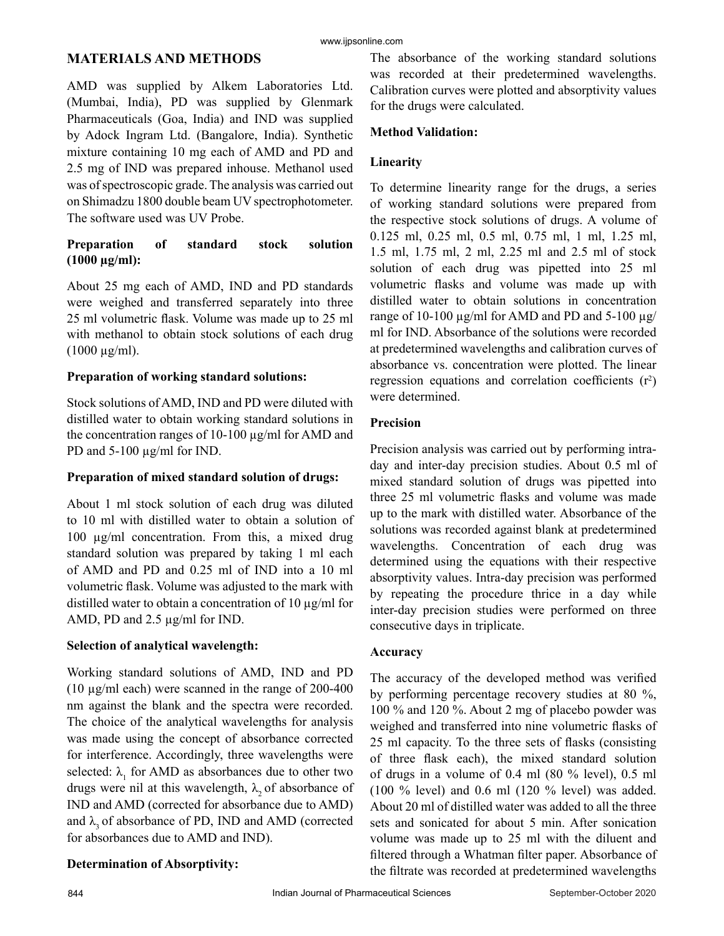#### www.ijpsonline.com

## **MATERIALS AND METHODS**

AMD was supplied by Alkem Laboratories Ltd. (Mumbai, India), PD was supplied by Glenmark Pharmaceuticals (Goa, India) and IND was supplied by Adock Ingram Ltd. (Bangalore, India). Synthetic mixture containing 10 mg each of AMD and PD and 2.5 mg of IND was prepared inhouse. Methanol used was of spectroscopic grade. The analysis was carried out on Shimadzu 1800 double beam UV spectrophotometer. The software used was UV Probe.

## **Preparation of standard stock solution (1000 µg/ml):**

About 25 mg each of AMD, IND and PD standards were weighed and transferred separately into three 25 ml volumetric flask. Volume was made up to 25 ml with methanol to obtain stock solutions of each drug  $(1000 \mu g/ml)$ .

## **Preparation of working standard solutions:**

Stock solutions of AMD, IND and PD were diluted with distilled water to obtain working standard solutions in the concentration ranges of 10-100 µg/ml for AMD and PD and 5-100  $\mu$ g/ml for IND.

#### **Preparation of mixed standard solution of drugs:**

About 1 ml stock solution of each drug was diluted to 10 ml with distilled water to obtain a solution of 100 µg/ml concentration. From this, a mixed drug standard solution was prepared by taking 1 ml each of AMD and PD and 0.25 ml of IND into a 10 ml volumetric flask. Volume was adjusted to the mark with distilled water to obtain a concentration of 10  $\mu$ g/ml for AMD, PD and 2.5 µg/ml for IND.

## **Selection of analytical wavelength:**

Working standard solutions of AMD, IND and PD (10 µg/ml each) were scanned in the range of 200-400 nm against the blank and the spectra were recorded. The choice of the analytical wavelengths for analysis was made using the concept of absorbance corrected for interference. Accordingly, three wavelengths were selected:  $\lambda_1$  for AMD as absorbances due to other two drugs were nil at this wavelength,  $\lambda$ , of absorbance of IND and AMD (corrected for absorbance due to AMD) and  $\lambda_3$  of absorbance of PD, IND and AMD (corrected for absorbances due to AMD and IND).

## The absorbance of the working standard solutions was recorded at their predetermined wavelengths. Calibration curves were plotted and absorptivity values for the drugs were calculated.

## **Method Validation:**

## **Linearity**

To determine linearity range for the drugs, a series of working standard solutions were prepared from the respective stock solutions of drugs. A volume of 0.125 ml, 0.25 ml, 0.5 ml, 0.75 ml, 1 ml, 1.25 ml, 1.5 ml, 1.75 ml, 2 ml, 2.25 ml and 2.5 ml of stock solution of each drug was pipetted into 25 ml volumetric flasks and volume was made up with distilled water to obtain solutions in concentration range of 10-100  $\mu$ g/ml for AMD and PD and 5-100  $\mu$ g/ ml for IND. Absorbance of the solutions were recorded at predetermined wavelengths and calibration curves of absorbance vs. concentration were plotted. The linear regression equations and correlation coefficients  $(r^2)$ were determined.

#### **Precision**

Precision analysis was carried out by performing intraday and inter-day precision studies. About 0.5 ml of mixed standard solution of drugs was pipetted into three 25 ml volumetric flasks and volume was made up to the mark with distilled water. Absorbance of the solutions was recorded against blank at predetermined wavelengths. Concentration of each drug was determined using the equations with their respective absorptivity values. Intra-day precision was performed by repeating the procedure thrice in a day while inter-day precision studies were performed on three consecutive days in triplicate.

#### **Accuracy**

The accuracy of the developed method was verified by performing percentage recovery studies at 80 %, 100 % and 120 %. About 2 mg of placebo powder was weighed and transferred into nine volumetric flasks of 25 ml capacity. To the three sets of flasks (consisting of three flask each), the mixed standard solution of drugs in a volume of 0.4 ml (80 % level), 0.5 ml (100 % level) and 0.6 ml (120 % level) was added. About 20 ml of distilled water was added to all the three sets and sonicated for about 5 min. After sonication volume was made up to 25 ml with the diluent and filtered through a Whatman filter paper. Absorbance of the filtrate was recorded at predetermined wavelengths

## **Determination of Absorptivity:**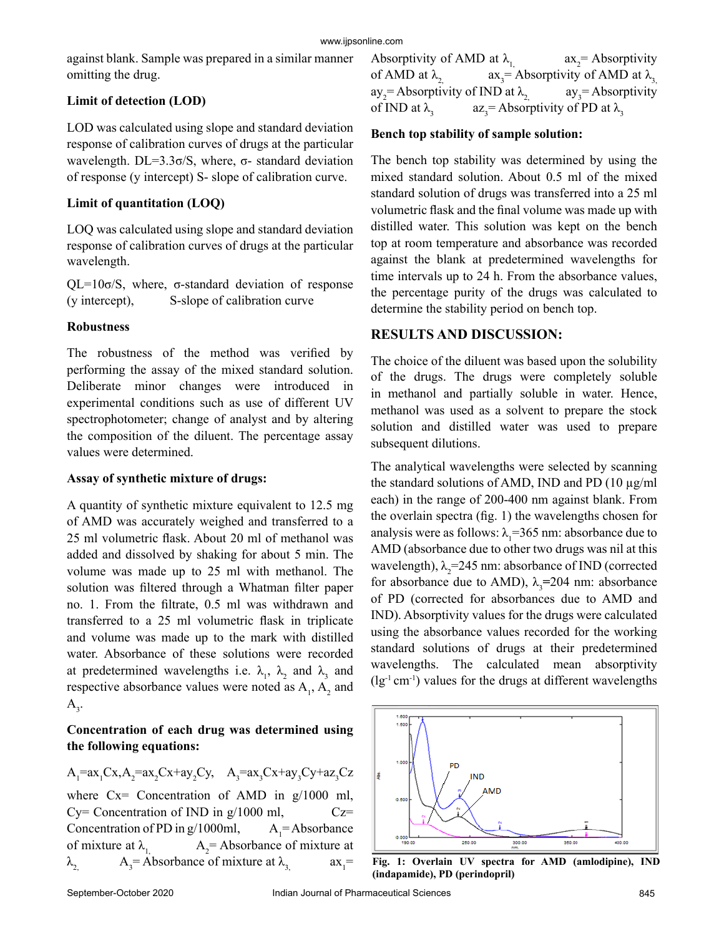against blank. Sample was prepared in a similar manner omitting the drug.

## **Limit of detection (LOD)**

LOD was calculated using slope and standard deviation response of calibration curves of drugs at the particular wavelength. DL=3.3σ/S, where,  $σ$ - standard deviation of response (y intercept) S- slope of calibration curve.

## **Limit of quantitation (LOQ)**

LOQ was calculated using slope and standard deviation response of calibration curves of drugs at the particular wavelength.

 $QL=10\sigma/S$ , where,  $\sigma$ -standard deviation of response (y intercept), S-slope of calibration curve

## **Robustness**

The robustness of the method was verified by performing the assay of the mixed standard solution. Deliberate minor changes were introduced in experimental conditions such as use of different UV spectrophotometer; change of analyst and by altering the composition of the diluent. The percentage assay values were determined.

## **Assay of synthetic mixture of drugs:**

A quantity of synthetic mixture equivalent to 12.5 mg of AMD was accurately weighed and transferred to a 25 ml volumetric flask. About 20 ml of methanol was added and dissolved by shaking for about 5 min. The volume was made up to 25 ml with methanol. The solution was filtered through a Whatman filter paper no. 1. From the filtrate, 0.5 ml was withdrawn and transferred to a 25 ml volumetric flask in triplicate and volume was made up to the mark with distilled water. Absorbance of these solutions were recorded at predetermined wavelengths i.e.  $\lambda_1$ ,  $\lambda_2$  and  $\lambda_3$  and respective absorbance values were noted as  $A_1$ ,  $A_2$  and  $A_{3}$ .

## **Concentration of each drug was determined using the following equations:**

A<sub>1</sub>=ax<sub>1</sub>Cx, A<sub>2</sub>=ax<sub>2</sub>Cx+ay<sub>2</sub>Cy, A<sub>3</sub>=ax<sub>3</sub>Cx+ay<sub>3</sub>Cy+az<sub>3</sub>Cz  
where Cx= concentration of AMD in g/1000 ml,  
Cy= concentration of IND in g/1000 ml, Cz=  
Concentration of PD in g/1000ml, A<sub>1</sub>= Absorbance  
of mixture at 
$$
\lambda_{1}
$$
, A<sub>2</sub>= Absorbance of mixture at  
 $\lambda_{2}$ , A<sub>3</sub>= Absorbance of mixture at  $\lambda_{3}$ , ax<sub>1</sub>=

Absorptivity of AMD at  $\lambda_1$  $ax_2$  = Absorptivity of AMD at  $\lambda$ <sub>2</sub>  $ax_3$  = Absorptivity of AMD at  $\lambda_3$  $ay_2$  = Absorptivity of IND at  $\lambda_2$  ay<sub>3</sub>  $ay_3$ = Absorptivity of IND at  $\lambda$ <sub>3</sub>  $az_3$ = Absorptivity of PD at  $\lambda_3$ 

## **Bench top stability of sample solution:**

The bench top stability was determined by using the mixed standard solution. About 0.5 ml of the mixed standard solution of drugs was transferred into a 25 ml volumetric flask and the final volume was made up with distilled water. This solution was kept on the bench top at room temperature and absorbance was recorded against the blank at predetermined wavelengths for time intervals up to 24 h. From the absorbance values, the percentage purity of the drugs was calculated to determine the stability period on bench top.

## **RESULTS AND DISCUSSION:**

The choice of the diluent was based upon the solubility of the drugs. The drugs were completely soluble in methanol and partially soluble in water. Hence, methanol was used as a solvent to prepare the stock solution and distilled water was used to prepare subsequent dilutions.

The analytical wavelengths were selected by scanning the standard solutions of AMD, IND and PD  $(10 \mu g/ml)$ each) in the range of 200-400 nm against blank. From the overlain spectra (fig. 1) the wavelengths chosen for analysis were as follows:  $\lambda_1 = 365$  nm: absorbance due to AMD (absorbance due to other two drugs was nil at this wavelength),  $\lambda_2$ =245 nm: absorbance of IND (corrected for absorbance due to AMD),  $\lambda_3 = 204$  nm: absorbance of PD (corrected for absorbances due to AMD and IND). Absorptivity values for the drugs were calculated using the absorbance values recorded for the working standard solutions of drugs at their predetermined wavelengths. The calculated mean absorptivity  $(lg^{-1}$  cm<sup>-1</sup>) values for the drugs at different wavelengths



**Fig. 1: Overlain UV spectra for AMD (amlodipine), IND (indapamide), PD (perindopril)**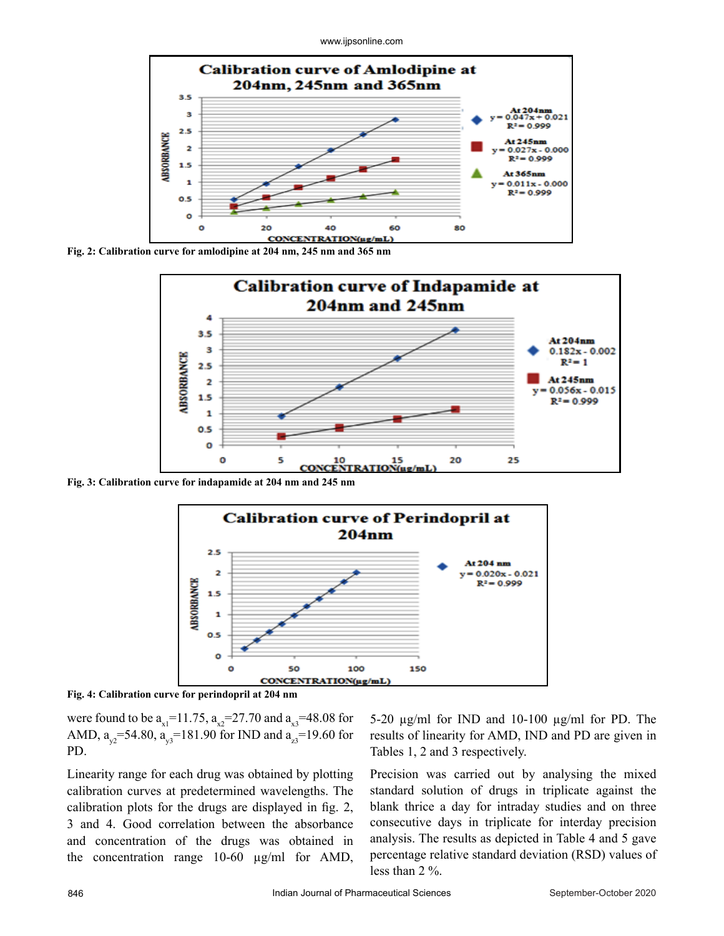www.ijpsonline.com



**Fig. 2: Calibration curve for amlodipine at 204 nm, 245 nm and 365 nm**



**Fig. 3: Calibration curve for indapamide at 204 nm and 245 nm**



**Fig. 4: Calibration curve for perindopril at 204 nm**

were found to be  $a_{x1} = 11.75$ ,  $a_{x2} = 27.70$  and  $a_{x3} = 48.08$  for AMD,  $a_{y2}$ =54.80,  $a_{y3}$ =181.90 for IND and  $a_{z3}$ =19.60 for PD.

Linearity range for each drug was obtained by plotting calibration curves at predetermined wavelengths. The calibration plots for the drugs are displayed in fig. 2, 3 and 4. Good correlation between the absorbance and concentration of the drugs was obtained in the concentration range 10-60 µg/ml for AMD, 5-20 µg/ml for IND and 10-100 µg/ml for PD. The results of linearity for AMD, IND and PD are given in Tables 1, 2 and 3 respectively.

Precision was carried out by analysing the mixed standard solution of drugs in triplicate against the blank thrice a day for intraday studies and on three consecutive days in triplicate for interday precision analysis. The results as depicted in Table 4 and 5 gave percentage relative standard deviation (RSD) values of less than 2 %.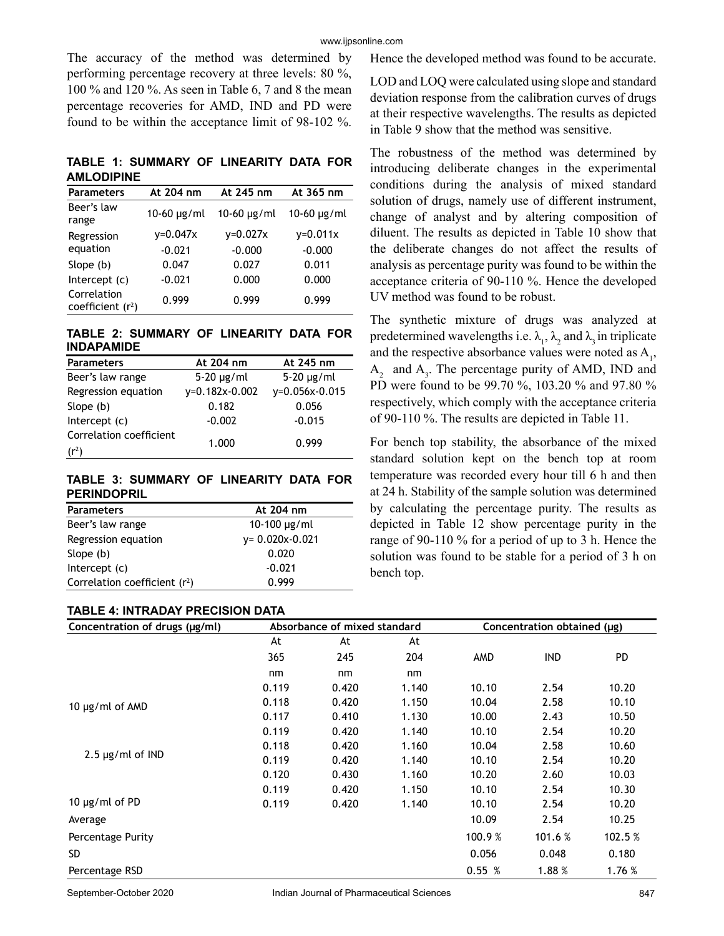The accuracy of the method was determined by performing percentage recovery at three levels: 80 %, 100 % and 120 %. As seen in Table 6, 7 and 8 the mean percentage recoveries for AMD, IND and PD were found to be within the acceptance limit of 98-102 %.

**TABLE 1: SUMMARY OF LINEARITY DATA FOR AMLODIPINE**

| <b>Parameters</b>                  | At 204 nm       | At 245 nm          | At 365 nm    |
|------------------------------------|-----------------|--------------------|--------------|
| Beer's law<br>range                | $10 - 60$ µg/ml | $10 - 60 \mu g/ml$ | 10-60 µg/ml  |
| Regression                         | $y=0.047x$      | $v = 0.027x$       | $v = 0.011x$ |
| equation                           | $-0.021$        | $-0.000$           | $-0.000$     |
| Slope (b)                          | 0.047           | 0.027              | 0.011        |
| Intercept (c)                      | $-0.021$        | 0.000              | 0.000        |
| Correlation<br>coefficient $(r^2)$ | 0.999           | 0.999              | 0.999        |

#### **TABLE 2: SUMMARY OF LINEARITY DATA FOR INDAPAMIDE**

| <b>Parameters</b>       | At 204 nm       | At 245 nm       |
|-------------------------|-----------------|-----------------|
| Beer's law range        | $5-20 \mu g/ml$ | $5-20 \mu g/ml$ |
| Regression equation     | y=0.182x-0.002  | y=0.056x-0.015  |
| Slope (b)               | 0.182           | 0.056           |
| Intercept $(c)$         | $-0.002$        | $-0.015$        |
| Correlation coefficient |                 |                 |
| $(r^2)$                 | 1.000           | 0.999           |

#### **TABLE 3: SUMMARY OF LINEARITY DATA FOR PERINDOPRIL**

| <b>Parameters</b>               | At 204 nm            |
|---------------------------------|----------------------|
| Beer's law range                | 10-100 $\mu$ g/ml    |
| Regression equation             | $y = 0.020x - 0.021$ |
| Slope (b)                       | 0.020                |
| Intercept $(c)$                 | $-0.021$             |
| Correlation coefficient $(r^2)$ | 0.999                |

#### **TABLE 4: INTRADAY PRECISION DATA**

Hence the developed method was found to be accurate.

LOD and LOQ were calculated using slope and standard deviation response from the calibration curves of drugs at their respective wavelengths. The results as depicted in Table 9 show that the method was sensitive.

The robustness of the method was determined by introducing deliberate changes in the experimental conditions during the analysis of mixed standard solution of drugs, namely use of different instrument, change of analyst and by altering composition of diluent. The results as depicted in Table 10 show that the deliberate changes do not affect the results of analysis as percentage purity was found to be within the acceptance criteria of 90-110 %. Hence the developed UV method was found to be robust.

The synthetic mixture of drugs was analyzed at predetermined wavelengths i.e.  $\lambda_1$ ,  $\lambda_2$  and  $\lambda_3$  in triplicate and the respective absorbance values were noted as  $A_{1}$ ,  $A_2$  and  $A_3$ . The percentage purity of AMD, IND and PD were found to be 99.70 %, 103.20 % and 97.80 % respectively, which comply with the acceptance criteria of 90-110 %. The results are depicted in Table 11.

For bench top stability, the absorbance of the mixed standard solution kept on the bench top at room temperature was recorded every hour till 6 h and then at 24 h. Stability of the sample solution was determined by calculating the percentage purity. The results as depicted in Table 12 show percentage purity in the range of 90-110 % for a period of up to 3 h. Hence the solution was found to be stable for a period of 3 h on bench top.

| Concentration of drugs (µg/ml) |       | Absorbance of mixed standard |       |            | Concentration obtained (µg) |         |
|--------------------------------|-------|------------------------------|-------|------------|-----------------------------|---------|
|                                | At    | At                           | At    |            |                             |         |
|                                | 365   | 245                          | 204   | <b>AMD</b> | <b>IND</b>                  | PD.     |
|                                | nm    | nm                           | nm    |            |                             |         |
|                                | 0.119 | 0.420                        | 1.140 | 10.10      | 2.54                        | 10.20   |
| 10 µg/ml of AMD                | 0.118 | 0.420                        | 1.150 | 10.04      | 2.58                        | 10.10   |
|                                | 0.117 | 0.410                        | 1.130 | 10.00      | 2.43                        | 10.50   |
|                                | 0.119 | 0.420                        | 1.140 | 10.10      | 2.54                        | 10.20   |
|                                | 0.118 | 0.420                        | 1.160 | 10.04      | 2.58                        | 10.60   |
| $2.5 \mu g/ml$ of IND          | 0.119 | 0.420                        | 1.140 | 10.10      | 2.54                        | 10.20   |
|                                | 0.120 | 0.430                        | 1.160 | 10.20      | 2.60                        | 10.03   |
|                                | 0.119 | 0.420                        | 1.150 | 10.10      | 2.54                        | 10.30   |
| 10 µg/ml of PD                 | 0.119 | 0.420                        | 1.140 | 10.10      | 2.54                        | 10.20   |
| Average                        |       |                              |       | 10.09      | 2.54                        | 10.25   |
| Percentage Purity              |       |                              |       | 100.9 %    | 101.6 %                     | 102.5 % |
| SD.                            |       |                              |       | 0.056      | 0.048                       | 0.180   |
| Percentage RSD                 |       |                              |       | 0.55%      | 1.88%                       | 1.76%   |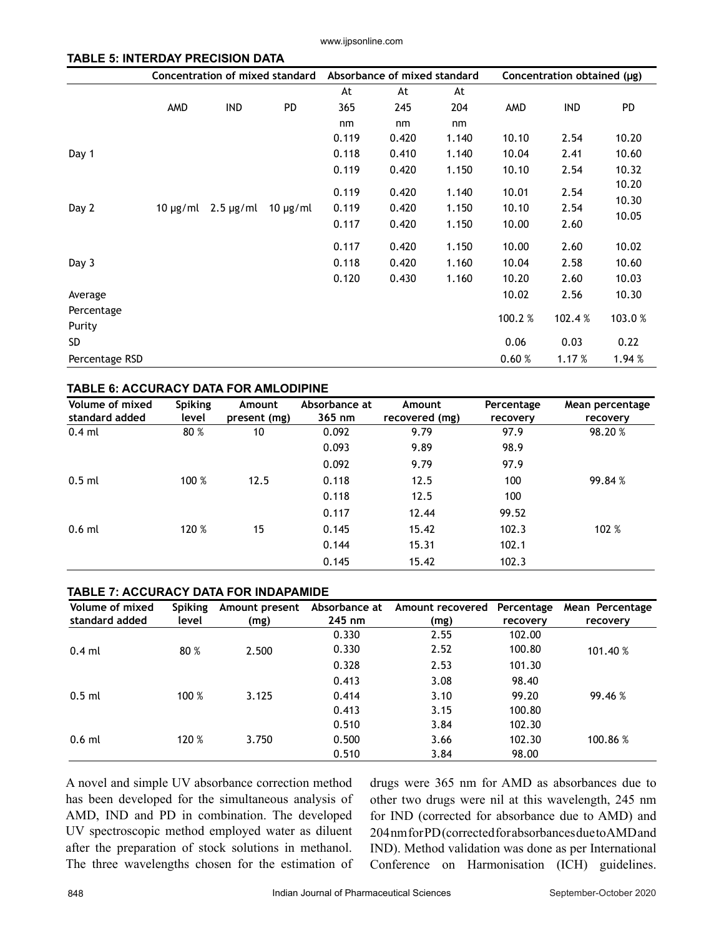www.ijpsonline.com

#### **TABLE 5: INTERDAY PRECISION DATA**

|                |               | <b>Concentration of mixed standard</b> |               |                | Absorbance of mixed standard |                | Concentration obtained (µg) |              |                |
|----------------|---------------|----------------------------------------|---------------|----------------|------------------------------|----------------|-----------------------------|--------------|----------------|
|                |               |                                        |               | At             | At                           | At             |                             |              |                |
|                | AMD           | <b>IND</b>                             | <b>PD</b>     | 365            | 245                          | 204            | AMD                         | <b>IND</b>   | PD.            |
|                |               |                                        |               | nm             | nm                           | nm             |                             |              |                |
|                |               |                                        |               | 0.119          | 0.420                        | 1.140          | 10.10                       | 2.54         | 10.20          |
| Day 1          |               |                                        |               | 0.118          | 0.410                        | 1.140          | 10.04                       | 2.41         | 10.60          |
|                |               |                                        |               | 0.119          | 0.420                        | 1.150          | 10.10                       | 2.54         | 10.32          |
| Day 2          | 10 $\mu$ g/ml | $2.5 \mu g/ml$                         | $10 \mu g/ml$ | 0.119<br>0.119 | 0.420<br>0.420               | 1.140<br>1.150 | 10.01<br>10.10              | 2.54<br>2.54 | 10.20<br>10.30 |
|                |               |                                        |               | 0.117          | 0.420                        | 1.150          | 10.00                       | 2.60         | 10.05          |
|                |               |                                        |               | 0.117          | 0.420                        | 1.150          | 10.00                       | 2.60         | 10.02          |
| Day 3          |               |                                        |               | 0.118          | 0.420                        | 1.160          | 10.04                       | 2.58         | 10.60          |
|                |               |                                        |               | 0.120          | 0.430                        | 1.160          | 10.20                       | 2.60         | 10.03          |
| Average        |               |                                        |               |                |                              |                | 10.02                       | 2.56         | 10.30          |
| Percentage     |               |                                        |               |                |                              |                |                             |              |                |
| Purity         |               |                                        |               |                |                              |                | 100.2 %                     | 102.4 %      | 103.0%         |
| SD.            |               |                                        |               |                |                              |                | 0.06                        | 0.03         | 0.22           |
| Percentage RSD |               |                                        |               |                |                              |                | 0.60%                       | 1.17 %       | 1.94 %         |

#### **TABLE 6: ACCURACY DATA FOR AMLODIPINE**

| <b>Volume of mixed</b><br>standard added | <b>Spiking</b><br>level | Amount<br>present (mg) | Absorbance at<br>365 nm | Amount<br>recovered (mg) | Percentage<br>recovery | Mean percentage<br>recovery |
|------------------------------------------|-------------------------|------------------------|-------------------------|--------------------------|------------------------|-----------------------------|
| $0.4$ ml                                 | 80 %                    | 10                     | 0.092                   | 9.79                     | 97.9                   | 98.20%                      |
|                                          |                         |                        | 0.093                   | 9.89                     | 98.9                   |                             |
|                                          |                         |                        | 0.092                   | 9.79                     | 97.9                   |                             |
| $0.5$ ml                                 | 100 %                   | 12.5                   | 0.118                   | 12.5                     | 100                    | 99.84 %                     |
|                                          |                         |                        | 0.118                   | 12.5                     | 100                    |                             |
|                                          |                         |                        | 0.117                   | 12.44                    | 99.52                  |                             |
| $0.6$ ml                                 | 120 %                   | 15                     | 0.145                   | 15.42                    | 102.3                  | 102 %                       |
|                                          |                         |                        | 0.144                   | 15.31                    | 102.1                  |                             |
|                                          |                         |                        | 0.145                   | 15.42                    | 102.3                  |                             |

#### **TABLE 7: ACCURACY DATA FOR INDAPAMIDE**

| Volume of mixed | <b>Spiking</b> | Amount present | Absorbance at | Amount recovered | Percentage | Mean Percentage |
|-----------------|----------------|----------------|---------------|------------------|------------|-----------------|
| standard added  | level          | (mg)           | $245$ nm      | (mg)             | recovery   | recovery        |
|                 |                |                | 0.330         | 2.55             | 102.00     |                 |
| $0.4$ ml        | 80 %           | 2.500          | 0.330         | 2.52             | 100.80     | 101.40 %        |
|                 |                |                | 0.328         | 2.53             | 101.30     |                 |
|                 |                |                | 0.413         | 3.08             | 98.40      |                 |
| $0.5$ ml        | 100 %          | 3.125          | 0.414         | 3.10             | 99.20      | 99.46 %         |
|                 |                |                | 0.413         | 3.15             | 100.80     |                 |
|                 |                |                | 0.510         | 3.84             | 102.30     |                 |
| $0.6$ ml        | 120 %          | 3.750          | 0.500         | 3.66             | 102.30     | 100.86 %        |
|                 |                |                | 0.510         | 3.84             | 98.00      |                 |

A novel and simple UV absorbance correction method has been developed for the simultaneous analysis of AMD, IND and PD in combination. The developed UV spectroscopic method employed water as diluent after the preparation of stock solutions in methanol. The three wavelengths chosen for the estimation of drugs were 365 nm for AMD as absorbances due to other two drugs were nil at this wavelength, 245 nm for IND (corrected for absorbance due to AMD) and 204 nm for PD (corrected for absorbances due to AMD and IND). Method validation was done as per International Conference on Harmonisation (ICH) guidelines.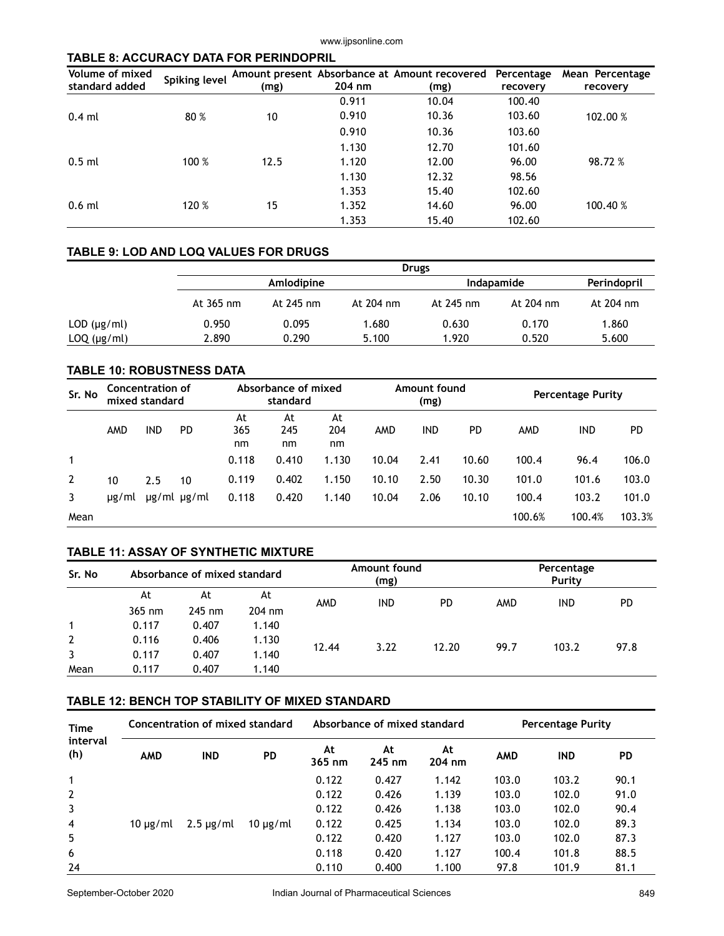#### **TABLE 8: ACCURACY DATA FOR PERINDOPRIL**

| Volume of mixed | <b>Spiking level</b> |      |        | Amount present Absorbance at Amount recovered Percentage |          | Mean Percentage |
|-----------------|----------------------|------|--------|----------------------------------------------------------|----------|-----------------|
| standard added  |                      | (mg) | 204 nm | (mg)                                                     | recovery | recovery        |
|                 |                      |      | 0.911  | 10.04                                                    | 100.40   |                 |
| $0.4$ ml        | 80 %                 | 10   | 0.910  | 10.36                                                    | 103.60   | 102.00 %        |
|                 |                      |      | 0.910  | 10.36                                                    | 103.60   |                 |
|                 |                      |      | 1.130  | 12.70                                                    | 101.60   |                 |
| $0.5$ ml        | 100 %                | 12.5 | 1.120  | 12.00                                                    | 96.00    | 98.72 %         |
|                 |                      |      | 1.130  | 12.32                                                    | 98.56    |                 |
| $0.6$ ml        |                      |      | 1.353  | 15.40                                                    | 102.60   |                 |
|                 | 120 %                | 15   | 1.352  | 14.60                                                    | 96.00    | 100.40 %        |
|                 |                      |      | 1.353  | 15.40                                                    | 102.60   |                 |

#### **TABLE 9: LOD AND LOQ VALUES FOR DRUGS**

|                     |           | <b>Drugs</b> |           |                   |             |           |  |  |  |
|---------------------|-----------|--------------|-----------|-------------------|-------------|-----------|--|--|--|
|                     |           | Amlodipine   |           | <b>Indapamide</b> | Perindopril |           |  |  |  |
|                     | At 365 nm | At 245 nm    | At 204 nm | At 245 nm         | At 204 nm   | At 204 nm |  |  |  |
| $LOD$ ( $\mu$ g/ml) | 0.950     | 0.095        | 1.680     | 0.630             | 0.170       | 1.860     |  |  |  |
| $LOQ$ ( $\mu$ g/ml) | 2.890     | 0.290        | 5.100     | 1.920             | 0.520       | 5.600     |  |  |  |

#### **TABLE 10: ROBUSTNESS DATA**

| Sr. No         | Absorbance of mixed<br><b>Concentration of</b><br>standard<br>mixed standard |            |                       |                 | Amount found<br>(mg) |                 | <b>Percentage Purity</b> |            |       |        |        |        |
|----------------|------------------------------------------------------------------------------|------------|-----------------------|-----------------|----------------------|-----------------|--------------------------|------------|-------|--------|--------|--------|
|                | AMD                                                                          | <b>IND</b> | <b>PD</b>             | At<br>365<br>nm | At<br>245<br>nm      | At<br>204<br>nm | AMD                      | <b>IND</b> | PD.   | AMD    | IND    | PD     |
| 1              |                                                                              |            |                       | 0.118           | 0.410                | 1.130           | 10.04                    | 2.41       | 10.60 | 100.4  | 96.4   | 106.0  |
| $\overline{2}$ | 10                                                                           | 2.5        | 10                    | 0.119           | 0.402                | 1.150           | 10.10                    | 2.50       | 10.30 | 101.0  | 101.6  | 103.0  |
| 3              | ug/ml                                                                        |            | $\mu$ g/ml $\mu$ g/ml | 0.118           | 0.420                | 1.140           | 10.04                    | 2.06       | 10.10 | 100.4  | 103.2  | 101.0  |
| Mean           |                                                                              |            |                       |                 |                      |                 |                          |            |       | 100.6% | 100.4% | 103.3% |

#### **TABLE 11: ASSAY OF SYNTHETIC MIXTURE**

| Sr. No         | Absorbance of mixed standard |          |          |       | Amount found<br>(mg) |       | Percentage<br>Purity |            |           |
|----------------|------------------------------|----------|----------|-------|----------------------|-------|----------------------|------------|-----------|
|                | At                           | At       | At       |       | <b>IND</b>           |       | AMD                  | <b>IND</b> | <b>PD</b> |
|                | 365 nm                       | $245$ nm | $204$ nm | AMD   |                      | PD    |                      |            |           |
| 1              | 0.117                        | 0.407    | 1.140    |       |                      |       |                      |            |           |
| $\overline{2}$ | 0.116                        | 0.406    | 1.130    |       | 3.22                 |       | 99.7                 | 103.2      |           |
| 3              | 0.117                        | 0.407    | 1.140    | 12.44 |                      | 12.20 |                      |            | 97.8      |
| Mean           | 0.117                        | 0.407    | 1.140    |       |                      |       |                      |            |           |

#### **TABLE 12: BENCH TOP STABILITY OF MIXED STANDARD**

| <b>Time</b><br>interval<br>(h) | Concentration of mixed standard |                |               |              | Absorbance of mixed standard |              | <b>Percentage Purity</b> |            |           |
|--------------------------------|---------------------------------|----------------|---------------|--------------|------------------------------|--------------|--------------------------|------------|-----------|
|                                | <b>AMD</b>                      | <b>IND</b>     | <b>PD</b>     | At<br>365 nm | At<br>245 nm                 | At<br>204 nm | <b>AMD</b>               | <b>IND</b> | <b>PD</b> |
| $\mathbf{1}$                   |                                 |                |               | 0.122        | 0.427                        | 1.142        | 103.0                    | 103.2      | 90.1      |
| $\overline{2}$                 |                                 |                |               | 0.122        | 0.426                        | 1.139        | 103.0                    | 102.0      | 91.0      |
| $\overline{3}$                 |                                 |                |               | 0.122        | 0.426                        | 1.138        | 103.0                    | 102.0      | 90.4      |
| $\overline{4}$                 | 10 $\mu$ g/ml                   | $2.5 \mu g/ml$ | 10 $\mu$ g/ml | 0.122        | 0.425                        | 1.134        | 103.0                    | 102.0      | 89.3      |
| 5                              |                                 |                |               | 0.122        | 0.420                        | 1.127        | 103.0                    | 102.0      | 87.3      |
| 6                              |                                 |                |               | 0.118        | 0.420                        | 1.127        | 100.4                    | 101.8      | 88.5      |
| 24                             |                                 |                |               | 0.110        | 0.400                        | 1.100        | 97.8                     | 101.9      | 81.1      |